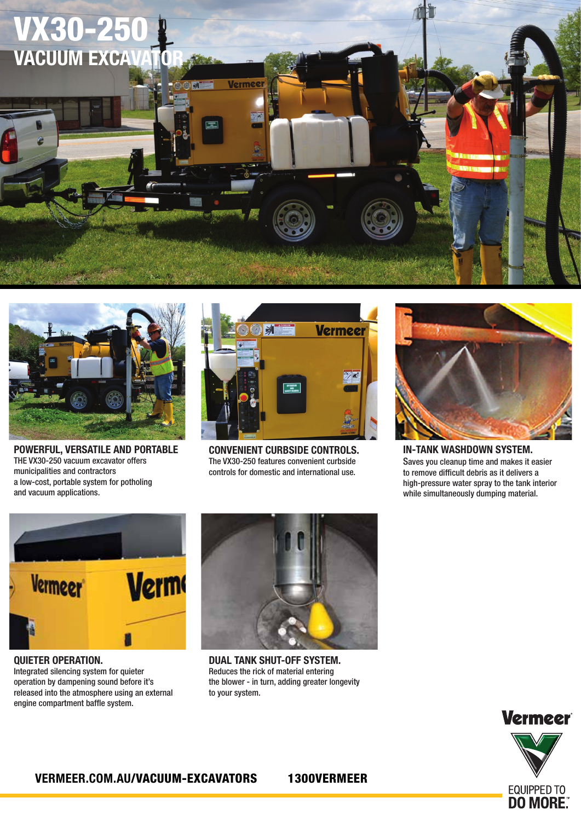



POWERFUL, VERSATILE AND PORTABLE THE VX30-250 vacuum excavator offers municipalities and contractors a low-cost, portable system for potholing and vacuum applications.



CONVENIENT CURBSIDE CONTROLS. The VX30-250 features convenient curbside controls for domestic and international use.



IN-TANK WASHDOWN SYSTEM. Saves you cleanup time and makes it easier to remove difficult debris as it delivers a high-pressure water spray to the tank interior while simultaneously dumping material.



QUIETER OPERATION. Integrated silencing system for quieter operation by dampening sound before it's released into the atmosphere using an external engine compartment baffle system.



DUAL TANK SHUT-OFF SYSTEM. Reduces the rick of material entering requees the rick of material entering<br>the blower - in turn, adding greater longevity to your system.



#### *• A mechanical float provides a secondary auto*  VERMEER.COM.AU/VACUUM-EXCAVATORS 1300VERMEER

*shutdown function — turning off the vacuum flow.*